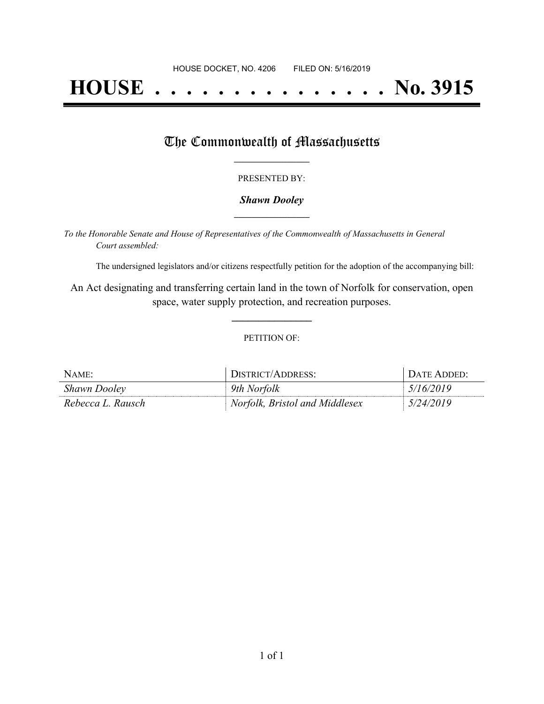# **HOUSE . . . . . . . . . . . . . . . No. 3915**

## The Commonwealth of Massachusetts

#### PRESENTED BY:

#### *Shawn Dooley* **\_\_\_\_\_\_\_\_\_\_\_\_\_\_\_\_\_**

*To the Honorable Senate and House of Representatives of the Commonwealth of Massachusetts in General Court assembled:*

The undersigned legislators and/or citizens respectfully petition for the adoption of the accompanying bill:

An Act designating and transferring certain land in the town of Norfolk for conservation, open space, water supply protection, and recreation purposes.

**\_\_\_\_\_\_\_\_\_\_\_\_\_\_\_**

#### PETITION OF:

| NAME:               | DISTRICT/ADDRESS:              | DATE ADDED: |
|---------------------|--------------------------------|-------------|
| <b>Shawn Dooley</b> | 9th Norfolk                    | 5/16/2019   |
| Rebecca L. Rausch   | Norfolk, Bristol and Middlesex | 5/24/2019   |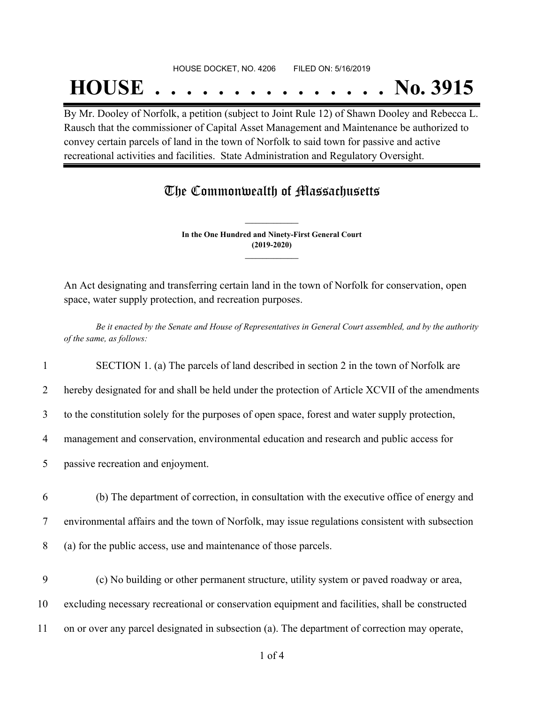#### HOUSE DOCKET, NO. 4206 FILED ON: 5/16/2019

## **HOUSE . . . . . . . . . . . . . . . No. 3915**

By Mr. Dooley of Norfolk, a petition (subject to Joint Rule 12) of Shawn Dooley and Rebecca L. Rausch that the commissioner of Capital Asset Management and Maintenance be authorized to convey certain parcels of land in the town of Norfolk to said town for passive and active recreational activities and facilities. State Administration and Regulatory Oversight.

### The Commonwealth of Massachusetts

**In the One Hundred and Ninety-First General Court (2019-2020) \_\_\_\_\_\_\_\_\_\_\_\_\_\_\_**

**\_\_\_\_\_\_\_\_\_\_\_\_\_\_\_**

An Act designating and transferring certain land in the town of Norfolk for conservation, open space, water supply protection, and recreation purposes.

Be it enacted by the Senate and House of Representatives in General Court assembled, and by the authority *of the same, as follows:*

1 SECTION 1. (a) The parcels of land described in section 2 in the town of Norfolk are

2 hereby designated for and shall be held under the protection of Article XCVII of the amendments

3 to the constitution solely for the purposes of open space, forest and water supply protection,

4 management and conservation, environmental education and research and public access for

5 passive recreation and enjoyment.

6 (b) The department of correction, in consultation with the executive office of energy and

7 environmental affairs and the town of Norfolk, may issue regulations consistent with subsection

8 (a) for the public access, use and maintenance of those parcels.

- 9 (c) No building or other permanent structure, utility system or paved roadway or area, 10 excluding necessary recreational or conservation equipment and facilities, shall be constructed
- 11 on or over any parcel designated in subsection (a). The department of correction may operate,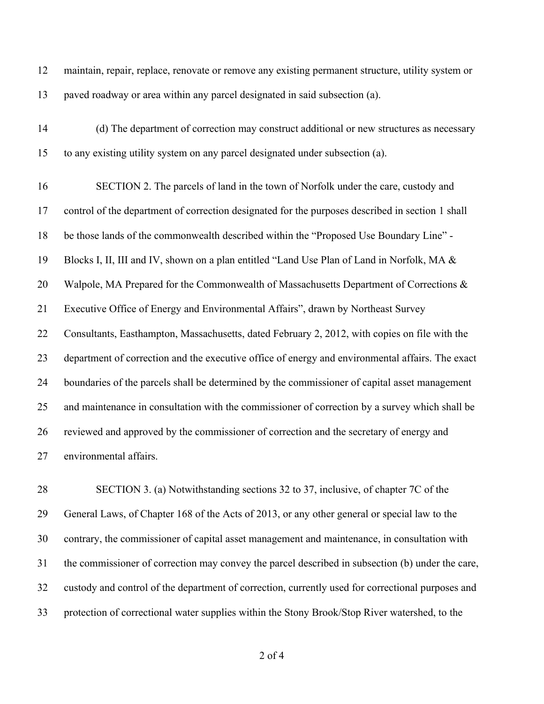maintain, repair, replace, renovate or remove any existing permanent structure, utility system or paved roadway or area within any parcel designated in said subsection (a). (d) The department of correction may construct additional or new structures as necessary to any existing utility system on any parcel designated under subsection (a). SECTION 2. The parcels of land in the town of Norfolk under the care, custody and control of the department of correction designated for the purposes described in section 1 shall be those lands of the commonwealth described within the "Proposed Use Boundary Line" - Blocks I, II, III and IV, shown on a plan entitled "Land Use Plan of Land in Norfolk, MA & 20 Walpole, MA Prepared for the Commonwealth of Massachusetts Department of Corrections & Executive Office of Energy and Environmental Affairs", drawn by Northeast Survey Consultants, Easthampton, Massachusetts, dated February 2, 2012, with copies on file with the department of correction and the executive office of energy and environmental affairs. The exact boundaries of the parcels shall be determined by the commissioner of capital asset management and maintenance in consultation with the commissioner of correction by a survey which shall be reviewed and approved by the commissioner of correction and the secretary of energy and environmental affairs.

 SECTION 3. (a) Notwithstanding sections 32 to 37, inclusive, of chapter 7C of the General Laws, of Chapter 168 of the Acts of 2013, or any other general or special law to the contrary, the commissioner of capital asset management and maintenance, in consultation with the commissioner of correction may convey the parcel described in subsection (b) under the care, custody and control of the department of correction, currently used for correctional purposes and protection of correctional water supplies within the Stony Brook/Stop River watershed, to the

of 4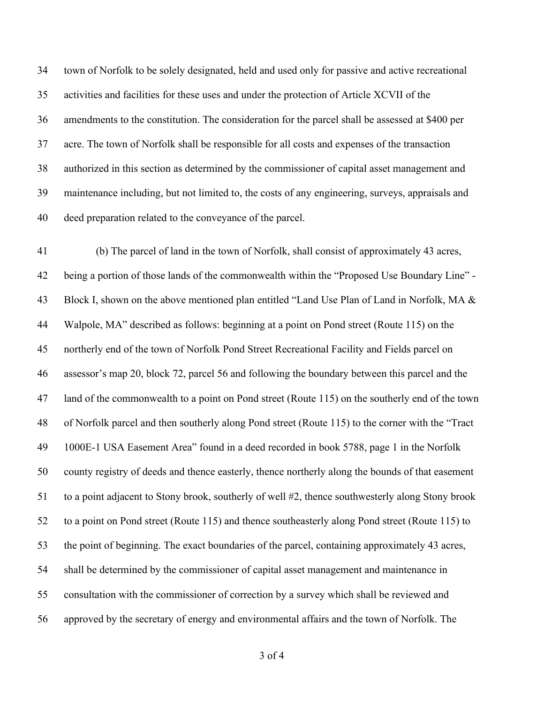town of Norfolk to be solely designated, held and used only for passive and active recreational activities and facilities for these uses and under the protection of Article XCVII of the amendments to the constitution. The consideration for the parcel shall be assessed at \$400 per acre. The town of Norfolk shall be responsible for all costs and expenses of the transaction authorized in this section as determined by the commissioner of capital asset management and maintenance including, but not limited to, the costs of any engineering, surveys, appraisals and deed preparation related to the conveyance of the parcel.

 (b) The parcel of land in the town of Norfolk, shall consist of approximately 43 acres, being a portion of those lands of the commonwealth within the "Proposed Use Boundary Line" - Block I, shown on the above mentioned plan entitled "Land Use Plan of Land in Norfolk, MA & Walpole, MA" described as follows: beginning at a point on Pond street (Route 115) on the northerly end of the town of Norfolk Pond Street Recreational Facility and Fields parcel on assessor's map 20, block 72, parcel 56 and following the boundary between this parcel and the land of the commonwealth to a point on Pond street (Route 115) on the southerly end of the town of Norfolk parcel and then southerly along Pond street (Route 115) to the corner with the "Tract 1000E-1 USA Easement Area" found in a deed recorded in book 5788, page 1 in the Norfolk county registry of deeds and thence easterly, thence northerly along the bounds of that easement to a point adjacent to Stony brook, southerly of well #2, thence southwesterly along Stony brook to a point on Pond street (Route 115) and thence southeasterly along Pond street (Route 115) to the point of beginning. The exact boundaries of the parcel, containing approximately 43 acres, shall be determined by the commissioner of capital asset management and maintenance in consultation with the commissioner of correction by a survey which shall be reviewed and approved by the secretary of energy and environmental affairs and the town of Norfolk. The

of 4